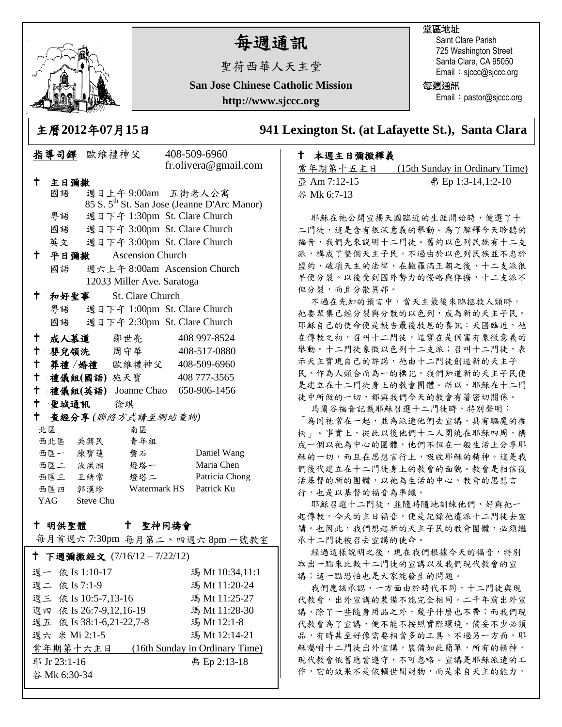

# 每週通訊

聖荷西華人天主堂

**San Jose Chinese Catholic Mission**

**http://www.sjccc.org**

#### 堂區地址

Saint Clare Parish 725 Washington Street Santa Clara, CA 95050 Email: sjccc@sjccc.org

每週通訊

Email: pastor@sjccc.org

指導司鐸 歐維禮神父 408-509-6960

主曆**2012**年**07**月**15**日 **941 Lexington St. (at Lafayette St.), Santa Clara** 

### 本週主日彌撒釋義

常年期第十五主日 (15th Sunday in Ordinary Time) 亞 Am 7:12-15 弗 Ep 1:3-14,1:2-10 谷 Mk 6:7-13

耶穌在祂公開宣揚天國臨近的生涯開始時,便選了十 二門徒,這是含有很深意義的舉動。為了解釋今天聆聽的 福音,我們先來說明十二門徒。舊約以色列民族有十二支 派,構成了整個天主子民。不過由於以色列民族並不忠於 盟約,破壞天主的法律,在撒羅滿王朝之後,十二支派很 早便分裂。以後受到國外勢力的侵略與俘擄,十二支派不 但分裂,而且分散異邦。

不過在先知的預言中,當天主最後來臨拯救人類時, 祂要聚集已經分裂與分散的以色列,成為新的天主子民。 耶穌自己的使命便是報告最後救恩的喜訊:天國臨近。祂 在傳教之初,召叫十二門徒,這實在是個富有象徵意義的 舉動。十二門徒象徵以色列十二支派;召叫十二門徒,表 示天主實現自己的許諾,祂由十二門徒創造新的天主子 民,作為人類合而為一的標記。我們知道新的天主子民便 是建立在十二門徒身上的教會團體。所以,耶穌在十二門 徒中所做的一切,都與我們今天的教會有著密切關係。

馬爾谷福音記載耶穌召選十二門徒時,特別聲明: 「為同祂常在一起,並為派遣他們去宣講,具有驅魔的權 柄」。事實上,從此以後他們十二人圍繞在耶穌四周,構 成一個以祂為中心的團體,他們不但在一般生活上分享耶 穌的一切,而且在思想言行上,吸收耶穌的精神。這是我 們後代建立在十二門徒身上的教會的面貌。教會是相信復 活基督的新的團體,以祂為生活的中心。教會的思想言 行,也是以基督的福音為準繩。

耶穌召選十二門徒,並隨時隨地訓練他們,好與祂一 起傳教。今天的主日福音,便是記錄祂遣派十二門徒去宣 講。也因此,我們想起新的天主子民的教會團體,必須繼 承十二門徒被召去宣講的使命。

經過這樣說明之後,現在我們根據今天的福音,特別 取出一點來比較十二門徒的宣講以及我們現代教會的宣 講;這一點恐怕也是大家能發生的問題。

我們應該承認,一方面由於時代不同,十二門徒與現 代教會,出外宣講的裝備不能完全相同。二千年前出外宣 講,除了一些隨身用品之外,幾乎什麼也不帶;而我們現 代教會為了宣講,便不能不按照實際環境,備妥不少必須 品,有時甚至好像需要相當多的工具。不過另一方面,耶 穌囑咐十二門徒出外宣講,裝備如此簡單,所有的精神, 現代教會依舊應當遵守,不可忽略。宣講是耶穌派遣的工 作,它的效果不是依賴世間財物,而是來自天主的能力。

|                                  |               |            |                            | fr.olivera@gmail.com                                    |  |
|----------------------------------|---------------|------------|----------------------------|---------------------------------------------------------|--|
| $\mathbf t$                      | 主日彌撒          |            |                            |                                                         |  |
|                                  | 國語            |            |                            | 週日上午9:00am 五街老人公寓                                       |  |
|                                  |               |            |                            | 85 S. 5 <sup>th</sup> St. San Jose (Jeanne D'Arc Manor) |  |
|                                  | 粵語            |            |                            | 週日下午 1:30pm St. Clare Church                            |  |
|                                  |               |            |                            | 國語 週日下午 3:00pm St. Clare Church                         |  |
|                                  |               |            |                            | 英文 週日下午 3:00pm St. Clare Church                         |  |
|                                  | $^{\dagger}$  | 平日彌撒       | <b>Ascension Church</b>    |                                                         |  |
|                                  | 國語            |            |                            | 週六上午 8:00am Ascension Church                            |  |
|                                  |               |            | 12033 Miller Ave. Saratoga |                                                         |  |
| t.                               |               | 和好聖事       | St. Clare Church           |                                                         |  |
|                                  |               |            |                            | 粤語 週日下午 1:00pm St. Clare Church                         |  |
|                                  |               |            |                            | 國語 週日下午 2:30pm St. Clare Church                         |  |
|                                  | $\mathbf t$   |            | 成人慕道 鄒世亮                   | 408 997-8524                                            |  |
|                                  | $^+$          |            | 嬰兒領洗 周守華                   | 408-517-0880                                            |  |
|                                  |               |            |                            | + 葬禮/婚禮 歐維禮神父 408-509-6960                              |  |
|                                  | $^+$          | 禮儀組(國語)施天寶 |                            | 408 777-3565                                            |  |
|                                  | $\mathbf t$   |            |                            | 禮儀組(英語) Joanne Chao 650-906-1456                        |  |
|                                  | $^{\dagger}$  | 聖城通訊 徐琪    |                            |                                                         |  |
| $^{\dagger}$<br>查經分享(聯絡方式請至網站查詢) |               |            |                            |                                                         |  |
|                                  | 北區            |            | 南區                         |                                                         |  |
|                                  | 西北區 吳興民       |            | 青年組                        |                                                         |  |
|                                  | 西區一 陳寶蓮 磐石    |            |                            | Daniel Wang                                             |  |
|                                  |               |            | 西區二 汝洪湘 燈塔一                | Maria Chen                                              |  |
|                                  |               |            | 西區三 王緒常 燈塔二                | Patricia Chong                                          |  |
|                                  |               |            | 西區四 郭漢珍 Watermark HS       | Patrick Ku                                              |  |
|                                  | YAG Steve Chu |            |                            |                                                         |  |

#### 十 明供聖體 聖神同禱會

每月首週六 7:30pm 每月第二、四週六 8pm 一號教室

| ↑ 下週彌撒經文 (7/16/12-7/22/12)                 |                 |  |  |  |  |
|--------------------------------------------|-----------------|--|--|--|--|
| 週一 依 Is 1:10-17                            | 瑪 Mt 10:34,11:1 |  |  |  |  |
| 週二 依 Is 7:1-9                              | 瑪 Mt 11:20-24   |  |  |  |  |
| 週三 依 Is 10:5-7,13-16                       | 瑪 Mt 11:25-27   |  |  |  |  |
| 週四 依 Is 26:7-9,12,16-19                    | 瑪 Mt 11:28-30   |  |  |  |  |
| 週五 依 Is 38:1-6,21-22,7-8                   | 瑪 Mt 12:1-8     |  |  |  |  |
| 週六 米 Mi 2:1-5                              | 瑪 Mt 12:14-21   |  |  |  |  |
| 常年期第十六主日<br>(16th Sunday in Ordinary Time) |                 |  |  |  |  |
| 耶 Jr 23:1-16                               | 弗 Ep 2:13-18    |  |  |  |  |
| 谷 Mk 6:30-34                               |                 |  |  |  |  |
|                                            |                 |  |  |  |  |